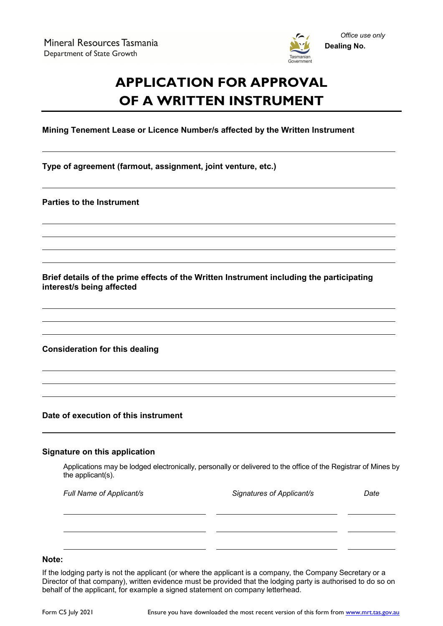

# **APPLICATION FOR APPROVAL OF A WRITTEN INSTRUMENT**

**Mining Tenement Lease or Licence Number/s affected by the Written Instrument**

**Type of agreement (farmout, assignment, joint venture, etc.)**

**Parties to the Instrument**

**Brief details of the prime effects of the Written Instrument including the participating interest/s being affected**

**Consideration for this dealing**

**Date of execution of this instrument**

#### **Signature on this application**

Applications may be lodged electronically, personally or delivered to the office of the Registrar of Mines by the applicant(s).

| Full Name of Applicant/s | Signatures of Applicant/s | Date |
|--------------------------|---------------------------|------|
|                          |                           |      |
|                          |                           |      |
|                          |                           |      |

## **Note:**

If the lodging party is not the applicant (or where the applicant is a company, the Company Secretary or a Director of that company), written evidence must be provided that the lodging party is authorised to do so on behalf of the applicant, for example a signed statement on company letterhead.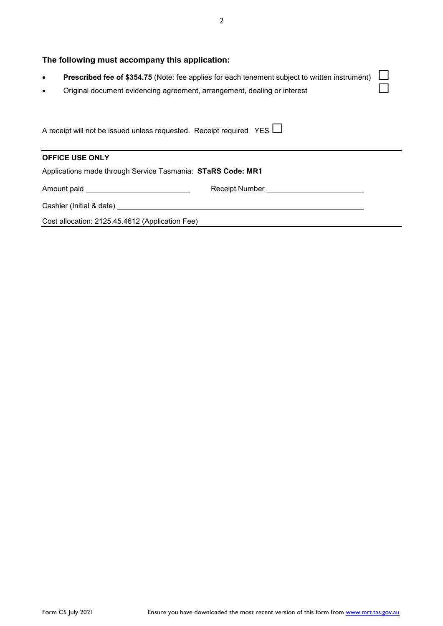| The following must accompany this application:                                                                                                                                                              |  |  |  |  |
|-------------------------------------------------------------------------------------------------------------------------------------------------------------------------------------------------------------|--|--|--|--|
| <b>Prescribed fee of \$354.75 (Note: fee applies for each tenement subject to written instrument)</b><br>$\bullet$<br>Original document evidencing agreement, arrangement, dealing or interest<br>$\bullet$ |  |  |  |  |
| A receipt will not be issued unless requested. Receipt required YES L                                                                                                                                       |  |  |  |  |
| <b>OFFICE USE ONLY</b>                                                                                                                                                                                      |  |  |  |  |
| Applications made through Service Tasmania: STaRS Code: MR1                                                                                                                                                 |  |  |  |  |
| Amount paid ________________________________                                                                                                                                                                |  |  |  |  |
| Cashier (Initial & date) <u>contract the contract of the contract of the contract of the contract of the contract of</u>                                                                                    |  |  |  |  |
| Cost allocation: 2125.45.4612 (Application Fee)                                                                                                                                                             |  |  |  |  |